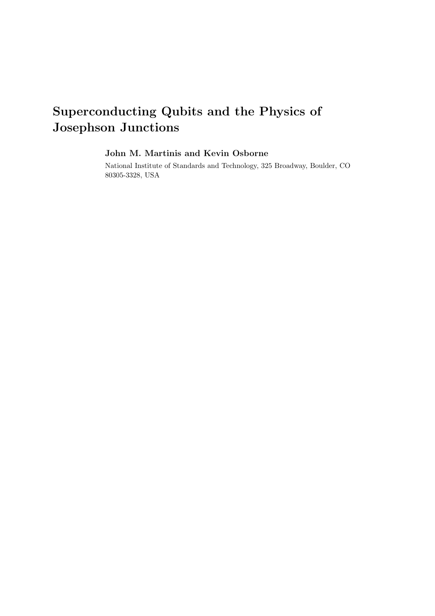## John M. Martinis and Kevin Osborne

National Institute of Standards and Technology, 325 Broadway, Boulder, CO 80305-3328, USA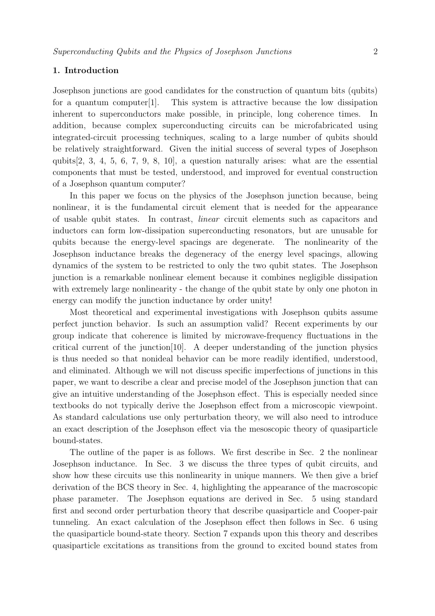### 1. Introduction

Josephson junctions are good candidates for the construction of quantum bits (qubits) for a quantum computer[1]. This system is attractive because the low dissipation inherent to superconductors make possible, in principle, long coherence times. In addition, because complex superconducting circuits can be microfabricated using integrated-circuit processing techniques, scaling to a large number of qubits should be relatively straightforward. Given the initial success of several types of Josephson qubits  $[2, 3, 4, 5, 6, 7, 9, 8, 10]$ , a question naturally arises: what are the essential components that must be tested, understood, and improved for eventual construction of a Josephson quantum computer?

In this paper we focus on the physics of the Josephson junction because, being nonlinear, it is the fundamental circuit element that is needed for the appearance of usable qubit states. In contrast, linear circuit elements such as capacitors and inductors can form low-dissipation superconducting resonators, but are unusable for qubits because the energy-level spacings are degenerate. The nonlinearity of the Josephson inductance breaks the degeneracy of the energy level spacings, allowing dynamics of the system to be restricted to only the two qubit states. The Josephson junction is a remarkable nonlinear element because it combines negligible dissipation with extremely large nonlinearity - the change of the qubit state by only one photon in energy can modify the junction inductance by order unity!

Most theoretical and experimental investigations with Josephson qubits assume perfect junction behavior. Is such an assumption valid? Recent experiments by our group indicate that coherence is limited by microwave-frequency fluctuations in the critical current of the junction[10]. A deeper understanding of the junction physics is thus needed so that nonideal behavior can be more readily identified, understood, and eliminated. Although we will not discuss specific imperfections of junctions in this paper, we want to describe a clear and precise model of the Josephson junction that can give an intuitive understanding of the Josephson effect. This is especially needed since textbooks do not typically derive the Josephson effect from a microscopic viewpoint. As standard calculations use only perturbation theory, we will also need to introduce an exact description of the Josephson effect via the mesoscopic theory of quasiparticle bound-states.

The outline of the paper is as follows. We first describe in Sec. 2 the nonlinear Josephson inductance. In Sec. 3 we discuss the three types of qubit circuits, and show how these circuits use this nonlinearity in unique manners. We then give a brief derivation of the BCS theory in Sec. 4, highlighting the appearance of the macroscopic phase parameter. The Josephson equations are derived in Sec. 5 using standard first and second order perturbation theory that describe quasiparticle and Cooper-pair tunneling. An exact calculation of the Josephson effect then follows in Sec. 6 using the quasiparticle bound-state theory. Section 7 expands upon this theory and describes quasiparticle excitations as transitions from the ground to excited bound states from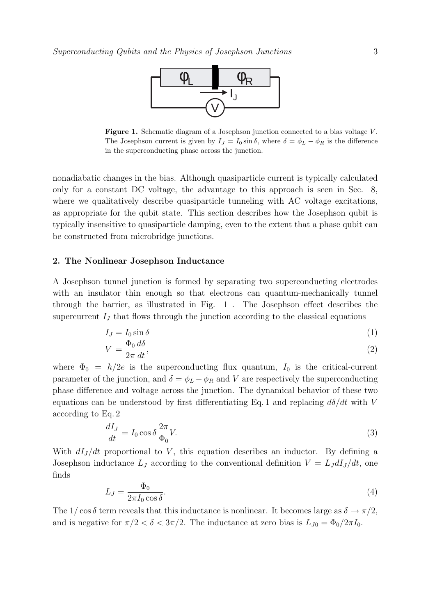

Figure 1. Schematic diagram of a Josephson junction connected to a bias voltage V. The Josephson current is given by  $I_J = I_0 \sin \delta$ , where  $\delta = \phi_L - \phi_R$  is the difference in the superconducting phase across the junction.

nonadiabatic changes in the bias. Although quasiparticle current is typically calculated only for a constant DC voltage, the advantage to this approach is seen in Sec. 8, where we qualitatively describe quasiparticle tunneling with AC voltage excitations, as appropriate for the qubit state. This section describes how the Josephson qubit is typically insensitive to quasiparticle damping, even to the extent that a phase qubit can be constructed from microbridge junctions.

#### 2. The Nonlinear Josephson Inductance

A Josephson tunnel junction is formed by separating two superconducting electrodes with an insulator thin enough so that electrons can quantum-mechanically tunnel through the barrier, as illustrated in Fig. 1 . The Josephson effect describes the supercurrent  $I_J$  that flows through the junction according to the classical equations

$$
I_J = I_0 \sin \delta \tag{1}
$$

$$
V = \frac{\Phi_0}{2\pi} \frac{d\delta}{dt},\tag{2}
$$

where  $\Phi_0 = h/2e$  is the superconducting flux quantum,  $I_0$  is the critical-current parameter of the junction, and  $\delta = \phi_L - \phi_R$  and V are respectively the superconducting phase difference and voltage across the junction. The dynamical behavior of these two equations can be understood by first differentiating Eq. 1 and replacing  $d\delta/dt$  with V according to Eq. 2

$$
\frac{dI_J}{dt} = I_0 \cos \delta \frac{2\pi}{\Phi_0} V. \tag{3}
$$

With  $dI_J/dt$  proportional to V, this equation describes an inductor. By defining a Josephson inductance  $L_J$  according to the conventional definition  $V = L_J dI_J/dt$ , one finds

$$
L_J = \frac{\Phi_0}{2\pi I_0 \cos \delta}.\tag{4}
$$

The 1/ $\cos \delta$  term reveals that this inductance is nonlinear. It becomes large as  $\delta \to \pi/2$ , and is negative for  $\pi/2 < \delta < 3\pi/2$ . The inductance at zero bias is  $L_{J0} = \Phi_0/2\pi I_0$ .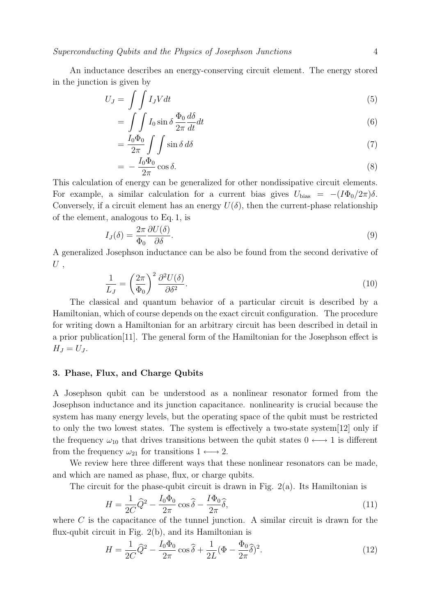An inductance describes an energy-conserving circuit element. The energy stored in the junction is given by

$$
U_J = \int \int I_J V dt \tag{5}
$$

$$
= \int\int I_0 \sin \delta \frac{\Phi_0}{2\pi} \frac{d\delta}{dt} dt \tag{6}
$$

$$
=\frac{I_0\Phi_0}{2\pi}\int\int\sin\delta\,d\delta\tag{7}
$$

$$
= -\frac{I_0 \Phi_0}{2\pi} \cos \delta. \tag{8}
$$

This calculation of energy can be generalized for other nondissipative circuit elements. For example, a similar calculation for a current bias gives  $U_{bias} = -(I\Phi_0/2\pi)\delta$ . Conversely, if a circuit element has an energy  $U(\delta)$ , then the current-phase relationship of the element, analogous to Eq. 1, is

$$
I_J(\delta) = \frac{2\pi}{\Phi_0} \frac{\partial U(\delta)}{\partial \delta}.
$$
\n(9)

A generalized Josephson inductance can be also be found from the second derivative of  $U$ ,

$$
\frac{1}{L_J} = \left(\frac{2\pi}{\Phi_0}\right)^2 \frac{\partial^2 U(\delta)}{\partial \delta^2}.
$$
\n(10)

The classical and quantum behavior of a particular circuit is described by a Hamiltonian, which of course depends on the exact circuit configuration. The procedure for writing down a Hamiltonian for an arbitrary circuit has been described in detail in a prior publication[11]. The general form of the Hamiltonian for the Josephson effect is  $H_J = U_J$ .

#### 3. Phase, Flux, and Charge Qubits

A Josephson qubit can be understood as a nonlinear resonator formed from the Josephson inductance and its junction capacitance. nonlinearity is crucial because the system has many energy levels, but the operating space of the qubit must be restricted to only the two lowest states. The system is effectively a two-state system[12] only if the frequency  $\omega_{10}$  that drives transitions between the qubit states  $0 \leftrightarrow 1$  is different from the frequency  $\omega_{21}$  for transitions  $1 \leftrightarrow 2$ .

We review here three different ways that these nonlinear resonators can be made, and which are named as phase, flux, or charge qubits.

The circuit for the phase-qubit circuit is drawn in Fig. 2(a). Its Hamiltonian is

$$
H = \frac{1}{2C}\hat{Q}^2 - \frac{I_0\Phi_0}{2\pi}\cos\hat{\delta} - \frac{I\Phi_0}{2\pi}\hat{\delta},\tag{11}
$$

where  $C$  is the capacitance of the tunnel junction. A similar circuit is drawn for the flux-qubit circuit in Fig. 2(b), and its Hamiltonian is

$$
H = \frac{1}{2C}\hat{Q}^2 - \frac{I_0\Phi_0}{2\pi}\cos\hat{\delta} + \frac{1}{2L}(\Phi - \frac{\Phi_0}{2\pi}\hat{\delta})^2.
$$
 (12)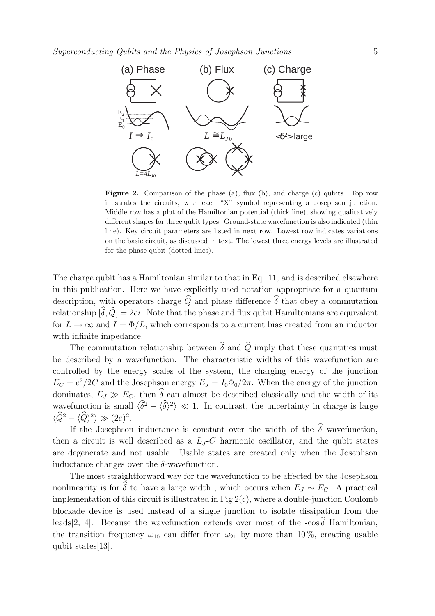

Figure 2. Comparison of the phase (a), flux (b), and charge (c) qubits. Top row illustrates the circuits, with each "X" symbol representing a Josephson junction. Middle row has a plot of the Hamiltonian potential (thick line), showing qualitatively different shapes for three qubit types. Ground-state wavefunction is also indicated (thin line). Key circuit parameters are listed in next row. Lowest row indicates variations on the basic circuit, as discussed in text. The lowest three energy levels are illustrated for the phase qubit (dotted lines).

The charge qubit has a Hamiltonian similar to that in Eq. 11, and is described elsewhere in this publication. Here we have explicitly used notation appropriate for a quantum description, with operators charge  $\widehat{Q}$  and phase difference  $\widehat{\delta}$  that obey a commutation relationship  $[\widehat{\delta}, \widehat{Q}] = 2ei$ . Note that the phase and flux qubit Hamiltonians are equivalent for  $L \to \infty$  and  $I = \Phi/L$ , which corresponds to a current bias created from an inductor with infinite impedance.

The commutation relationship between  $\hat{\delta}$  and  $\hat{Q}$  imply that these quantities must be described by a wavefunction. The characteristic widths of this wavefunction are controlled by the energy scales of the system, the charging energy of the junction  $E_C = e^2/2C$  and the Josephson energy  $E_J = I_0 \Phi_0/2\pi$ . When the energy of the junction dominates,  $E_J \gg E_C$ , then  $\hat{\delta}$  can almost be described classically and the width of its wavefunction is small  $\langle \hat{\delta}^2 - \langle \hat{\delta} \rangle^2 \rangle \ll 1$ . In contrast, the uncertainty in charge is large  $\langle \widehat{Q}^2 - \langle \widehat{Q} \rangle^2 \rangle \gg (2e)^2$ .

If the Josephson inductance is constant over the width of the  $\hat{\delta}$  wavefunction, then a circuit is well described as a  $L_J$ -C harmonic oscillator, and the qubit states are degenerate and not usable. Usable states are created only when the Josephson inductance changes over the  $\delta$ -wavefunction.

The most straightforward way for the wavefunction to be affected by the Josephson nonlinearity is for  $\delta$  to have a large width, which occurs when  $E_J \sim E_C$ . A practical implementation of this circuit is illustrated in Fig  $2(c)$ , where a double-junction Coulomb blockade device is used instead of a single junction to isolate dissipation from the leads [2, 4]. Because the wavefunction extends over most of the  $-\cos \delta$  Hamiltonian, the transition frequency  $\omega_{10}$  can differ from  $\omega_{21}$  by more than 10%, creating usable qubit states[13].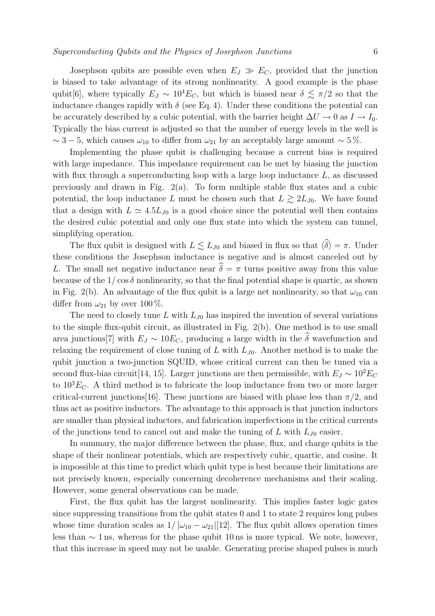Josephson qubits are possible even when  $E_J \gg E_C$ , provided that the junction is biased to take advantage of its strong nonlinearity. A good example is the phase qubit[6], where typically  $E_J \sim 10^4 E_C$ , but which is biased near  $\delta \lesssim \pi/2$  so that the inductance changes rapidly with  $\delta$  (see Eq. 4). Under these conditions the potential can be accurately described by a cubic potential, with the barrier height  $\Delta U \rightarrow 0$  as  $I \rightarrow I_0$ . Typically the bias current is adjusted so that the number of energy levels in the well is  $\sim$  3 − 5, which causes  $\omega_{10}$  to differ from  $\omega_{21}$  by an acceptably large amount  $\sim$  5%.

Implementing the phase qubit is challenging because a current bias is required with large impedance. This impedance requirement can be met by biasing the junction with flux through a superconducting loop with a large loop inductance  $L$ , as discussed previously and drawn in Fig. 2(a). To form multiple stable flux states and a cubic potential, the loop inductance L must be chosen such that  $L \gtrsim 2L_{J0}$ . We have found that a design with  $L \simeq 4.5L_{J0}$  is a good choice since the potential well then contains the desired cubic potential and only one flux state into which the system can tunnel, simplifying operation.

The flux qubit is designed with  $L \leq L_{J0}$  and biased in flux so that  $\langle \delta \rangle = \pi$ . Under these conditions the Josephson inductance is negative and is almost canceled out by L. The small net negative inductance near  $\hat{\delta} = \pi$  turns positive away from this value because of the  $1/\cos\delta$  nonlinearity, so that the final potential shape is quartic, as shown in Fig. 2(b). An advantage of the flux qubit is a large net nonlinearity, so that  $\omega_{10}$  can differ from  $\omega_{21}$  by over 100 %.

The need to closely tune L with  $L_{J0}$  has inspired the invention of several variations to the simple flux-qubit circuit, as illustrated in Fig. 2(b). One method is to use small area junctions[7] with  $E_J \sim 10E_C$ , producing a large width in the  $\hat{\delta}$  wavefunction and relaxing the requirement of close tuning of  $L$  with  $L_{J0}$ . Another method is to make the qubit junction a two-junction SQUID, whose critical current can then be tuned via a second flux-bias circuit[14, 15]. Larger junctions are then permissible, with  $E_J \sim 10^2 E_C$ to  $10^3 E_C$ . A third method is to fabricate the loop inductance from two or more larger critical-current junctions [16]. These junctions are biased with phase less than  $\pi/2$ , and thus act as positive inductors. The advantage to this approach is that junction inductors are smaller than physical inductors, and fabrication imperfections in the critical currents of the junctions tend to cancel out and make the tuning of  $L$  with  $L_{J0}$  easier.

In summary, the major difference between the phase, flux, and charge qubits is the shape of their nonlinear potentials, which are respectively cubic, quartic, and cosine. It is impossible at this time to predict which qubit type is best because their limitations are not precisely known, especially concerning decoherence mechanisms and their scaling. However, some general observations can be made.

First, the flux qubit has the largest nonlinearity. This implies faster logic gates since suppressing transitions from the qubit states 0 and 1 to state 2 requires long pulses whose time duration scales as  $1/|\omega_{10} - \omega_{21}|[12]$ . The flux qubit allows operation times less than  $\sim$  1 ns, whereas for the phase qubit 10 ns is more typical. We note, however, that this increase in speed may not be usable. Generating precise shaped pulses is much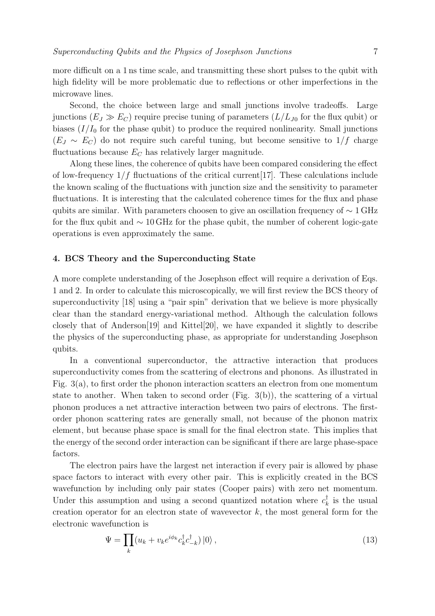more difficult on a 1 ns time scale, and transmitting these short pulses to the qubit with high fidelity will be more problematic due to reflections or other imperfections in the microwave lines.

Second, the choice between large and small junctions involve tradeoffs. Large junctions  $(E_J \gg E_C)$  require precise tuning of parameters  $(L/L_{J0}$  for the flux qubit) or biases  $(I/I_0$  for the phase qubit) to produce the required nonlinearity. Small junctions  $(E_J \sim E_C)$  do not require such careful tuning, but become sensitive to  $1/f$  charge fluctuations because  $E_C$  has relatively larger magnitude.

Along these lines, the coherence of qubits have been compared considering the effect of low-frequency  $1/f$  fluctuations of the critical current [17]. These calculations include the known scaling of the fluctuations with junction size and the sensitivity to parameter fluctuations. It is interesting that the calculated coherence times for the flux and phase qubits are similar. With parameters choosen to give an oscillation frequency of  $\sim 1 \text{ GHz}$ for the flux qubit and ∼ 10 GHz for the phase qubit, the number of coherent logic-gate operations is even approximately the same.

#### 4. BCS Theory and the Superconducting State

A more complete understanding of the Josephson effect will require a derivation of Eqs. 1 and 2. In order to calculate this microscopically, we will first review the BCS theory of superconductivity [18] using a "pair spin" derivation that we believe is more physically clear than the standard energy-variational method. Although the calculation follows closely that of Anderson[19] and Kittel[20], we have expanded it slightly to describe the physics of the superconducting phase, as appropriate for understanding Josephson qubits.

In a conventional superconductor, the attractive interaction that produces superconductivity comes from the scattering of electrons and phonons. As illustrated in Fig.  $3(a)$ , to first order the phonon interaction scatters an electron from one momentum state to another. When taken to second order (Fig. 3(b)), the scattering of a virtual phonon produces a net attractive interaction between two pairs of electrons. The firstorder phonon scattering rates are generally small, not because of the phonon matrix element, but because phase space is small for the final electron state. This implies that the energy of the second order interaction can be significant if there are large phase-space factors.

The electron pairs have the largest net interaction if every pair is allowed by phase space factors to interact with every other pair. This is explicitly created in the BCS wavefunction by including only pair states (Cooper pairs) with zero net momentum. Under this assumption and using a second quantized notation where  $c_{k}^{\dagger}$  $\frac{1}{k}$  is the usual creation operator for an electron state of wavevector  $k$ , the most general form for the electronic wavefunction is

$$
\Psi = \prod_{k} (u_k + v_k e^{i\phi_k} c_k^{\dagger} c_{-k}^{\dagger}) |0\rangle ,
$$
\n(13)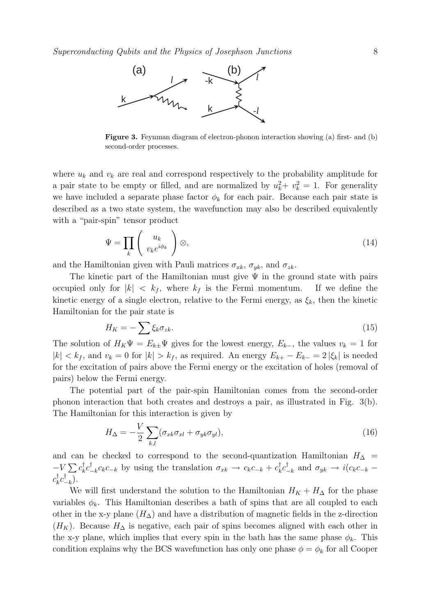

Figure 3. Feynman diagram of electron-phonon interaction showing (a) first- and (b) second-order processes.

where  $u_k$  and  $v_k$  are real and correspond respectively to the probability amplitude for a pair state to be empty or filled, and are normalized by  $u_k^2 + v_k^2 = 1$ . For generality we have included a separate phase factor  $\phi_k$  for each pair. Because each pair state is described as a two state system, the wavefunction may also be described equivalently with a "pair-spin" tensor product  $\frac{1}{2}$ 

$$
\Psi = \prod_k \left( \begin{array}{c} u_k \\ v_k e^{i\phi_k} \end{array} \right) \otimes, \tag{14}
$$

and the Hamiltonian given with Pauli matrices  $\sigma_{x_k}$ ,  $\sigma_{y_k}$ , and  $\sigma_{z_k}$ .

The kinetic part of the Hamiltonian must give  $\Psi$  in the ground state with pairs occupied only for  $|k| < k_f$ , where  $k_f$  is the Fermi momentum. If we define the kinetic energy of a single electron, relative to the Fermi energy, as  $\xi_k$ , then the kinetic Hamiltonian for the pair state is

$$
H_K = -\sum \xi_k \sigma_{zk}.\tag{15}
$$

The solution of  $H_K \Psi = E_{k\pm} \Psi$  gives for the lowest energy,  $E_{k-}$ , the values  $v_k = 1$  for  $|k| < k_f$ , and  $v_k = 0$  for  $|k| > k_f$ , as required. An energy  $E_{k+} - E_{k-} = 2 |\xi_k|$  is needed for the excitation of pairs above the Fermi energy or the excitation of holes (removal of pairs) below the Fermi energy.

The potential part of the pair-spin Hamiltonian comes from the second-order phonon interaction that both creates and destroys a pair, as illustrated in Fig. 3(b). The Hamiltonian for this interaction is given by

$$
H_{\Delta} = -\frac{V}{2} \sum_{k,l} (\sigma_{xk} \sigma_{xl} + \sigma_{yk} \sigma_{yl}), \qquad (16)
$$

and can be checked to correspond to the second-quantization Hamiltonian  $H_{\Delta}$  = and can<br> $-V\sum c_k^{\dagger}$  $\frac{1}{k}c_{-}^{\dagger}$ <sup>†</sup><sub>-k</sub>c<sub>k</sub>c<sub>-k</sub> by using the translation  $\sigma_{xk} \to c_k c_{-k} + c_k^{\dagger}$  $\frac{1}{k}c_{-}^{\dagger}$  $_{-k}^{\dagger}$  and  $\sigma_{yk} \rightarrow i(c_kc_{-k}$  $c^\dagger_k$  $_{k}^{\dagger}c_{-}^{\dagger}$  $\frac{1}{-k}$ ).

We will first understand the solution to the Hamiltonian  $H_K + H_\Delta$  for the phase variables  $\phi_k$ . This Hamiltonian describes a bath of spins that are all coupled to each other in the x-y plane  $(H<sub>∆</sub>)$  and have a distribution of magnetic fields in the z-direction  $(H_K)$ . Because  $H_{\Delta}$  is negative, each pair of spins becomes aligned with each other in the x-y plane, which implies that every spin in the bath has the same phase  $\phi_k$ . This condition explains why the BCS wavefunction has only one phase  $\phi = \phi_k$  for all Cooper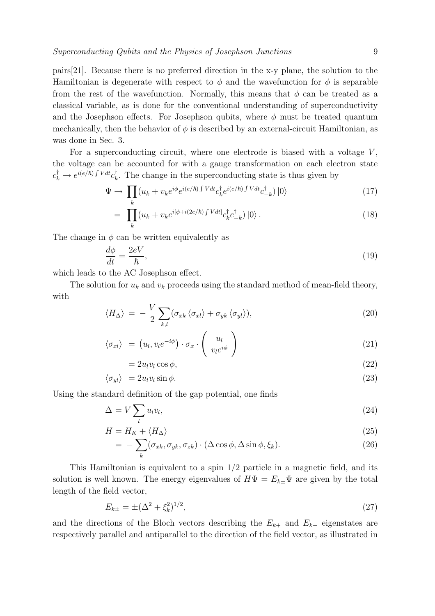pairs[21]. Because there is no preferred direction in the x-y plane, the solution to the Hamiltonian is degenerate with respect to  $\phi$  and the wavefunction for  $\phi$  is separable from the rest of the wavefunction. Normally, this means that  $\phi$  can be treated as a classical variable, as is done for the conventional understanding of superconductivity and the Josephson effects. For Josephson qubits, where  $\phi$  must be treated quantum mechanically, then the behavior of  $\phi$  is described by an external-circuit Hamiltonian, as was done in Sec. 3.

For a superconducting circuit, where one electrode is biased with a voltage  $V$ , the voltage can be accounted for with a gauge transformation on each electron state  $c_k^{\dagger} \rightarrow e^{i(e/\hbar) \int V dt} c_k^{\dagger}$  $\bar{k}$ . The change in the superconducting state is thus given by

$$
\Psi \to \prod_k (u_k + v_k e^{i\phi} e^{i(e/\hbar) \int V dt} c_k^{\dagger} e^{i(e/\hbar) \int V dt} c_{-k}^{\dagger}) |0\rangle
$$
\n(17)

$$
= \prod_{k}^{k} (u_k + v_k e^{i[\phi + i(2e/\hbar) \int V dt]} c_k^{\dagger} c_{-k}^{\dagger}) |0\rangle.
$$
 (18)

The change in  $\phi$  can be written equivalently as

$$
\frac{d\phi}{dt} = \frac{2eV}{\hbar},\tag{19}
$$

which leads to the AC Josephson effect.

The solution for  $u_k$  and  $v_k$  proceeds using the standard method of mean-field theory, with

$$
\langle H_{\Delta} \rangle = -\frac{V}{2} \sum_{k,l} (\sigma_{xk} \langle \sigma_{xl} \rangle + \sigma_{yk} \langle \sigma_{yl} \rangle), \tag{20}
$$

$$
\langle \sigma_{xl} \rangle = \left( u_l, v_l e^{-i\phi} \right) \cdot \sigma_x \cdot \begin{pmatrix} u_l \\ v_l e^{i\phi} \end{pmatrix}
$$
\n
$$
= 2u_l v_l \cos \phi \tag{21}
$$

$$
= 2u_1v_1\cos\varphi,\tag{22}
$$

$$
\langle \sigma_{yl} \rangle = 2u_l v_l \sin \phi. \tag{23}
$$

Using the standard definition of the gap potential, one finds

$$
\Delta = V \sum_{l} u_l v_l,\tag{24}
$$

$$
H = H_K + \langle H_\Delta \rangle \tag{25}
$$

$$
= -\sum_{k} (\sigma_{xk}, \sigma_{yk}, \sigma_{zk}) \cdot (\Delta \cos \phi, \Delta \sin \phi, \xi_k). \tag{26}
$$

This Hamiltonian is equivalent to a spin 1/2 particle in a magnetic field, and its solution is well known. The energy eigenvalues of  $H\Psi = E_{k\pm}\Psi$  are given by the total length of the field vector,

$$
E_{k\pm} = \pm (\Delta^2 + \xi_k^2)^{1/2},\tag{27}
$$

and the directions of the Bloch vectors describing the  $E_{k+}$  and  $E_{k-}$  eigenstates are respectively parallel and antiparallel to the direction of the field vector, as illustrated in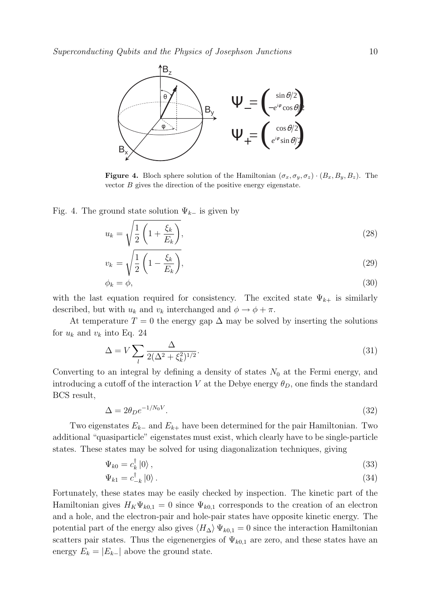

**Figure 4.** Bloch sphere solution of the Hamiltonian  $(\sigma_x, \sigma_y, \sigma_z) \cdot (B_x, B_y, B_z)$ . The vector B gives the direction of the positive energy eigenstate.

Fig. 4. The ground state solution  $\Psi_{k-}$  is given by  $\tilde{\phantom{a}}$ 

$$
u_k = \sqrt{\frac{1}{2} \left( 1 + \frac{\xi_k}{E_k} \right)},\tag{28}
$$

$$
v_k = \sqrt{\frac{1}{2} \left( 1 - \frac{\xi_k}{E_k} \right)},\tag{29}
$$

$$
\phi_k = \phi,\tag{30}
$$

with the last equation required for consistency. The excited state  $\Psi_{k+}$  is similarly described, but with  $u_k$  and  $v_k$  interchanged and  $\phi \to \phi + \pi$ .

At temperature  $T = 0$  the energy gap  $\Delta$  may be solved by inserting the solutions for  $u_k$  and  $v_k$  into Eq. 24

$$
\Delta = V \sum_{l} \frac{\Delta}{2(\Delta^2 + \xi_k^2)^{1/2}}.
$$
\n(31)

Converting to an integral by defining a density of states  $N_0$  at the Fermi energy, and introducing a cutoff of the interaction V at the Debye energy  $\theta_D$ , one finds the standard BCS result,

$$
\Delta = 2\theta_D e^{-1/N_0 V}.\tag{32}
$$

Two eigenstates  $E_{k-}$  and  $E_{k+}$  have been determined for the pair Hamiltonian. Two additional "quasiparticle" eigenstates must exist, which clearly have to be single-particle states. These states may be solved for using diagonalization techniques, giving

$$
\Psi_{k0} = c_k^{\dagger} |0\rangle \,, \tag{33}
$$

$$
\Psi_{k1} = c_{-k}^{\dagger} \left| 0 \right\rangle. \tag{34}
$$

Fortunately, these states may be easily checked by inspection. The kinetic part of the Hamiltonian gives  $H_K \Psi_{k0,1} = 0$  since  $\Psi_{k0,1}$  corresponds to the creation of an electron and a hole, and the electron-pair and hole-pair states have opposite kinetic energy. The potential part of the energy also gives  $\langle H_{\Delta} \rangle \Psi_{k0,1} = 0$  since the interaction Hamiltonian scatters pair states. Thus the eigenenergies of  $\Psi_{k0,1}$  are zero, and these states have an energy  $E_k = |E_{k-}|$  above the ground state.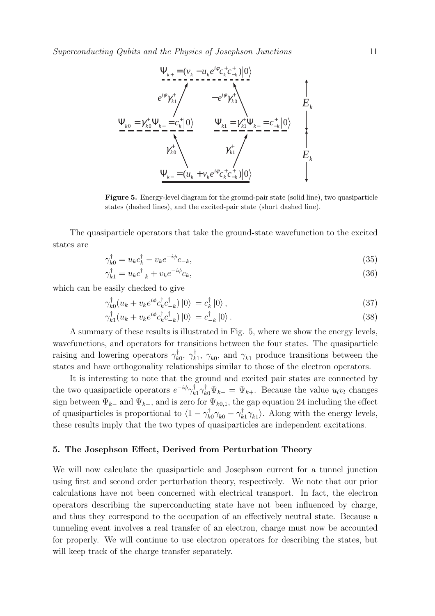$$
\Psi_{k+} = (v_k - u_k e^{i\phi} c_k^+ c_{-k}^+) |0\rangle
$$
\n
$$
e^{i\phi} \gamma_{k1}^+ / \qquad -e^{i\phi} \gamma_{k0}^+ / \qquad E_k
$$
\n
$$
\Psi_{k0} = \gamma_{k0}^+ \Psi_{k-} = c_k^+ |0\rangle \qquad \Psi_{k1} = \gamma_{k1}^+ \Psi_{k-} = c_{-k}^+ |0\rangle
$$
\n
$$
\gamma_{k0}^+ / \qquad \gamma_{k1}^+ / \qquad E_k
$$
\n
$$
\Psi_{k-} = (u_k + v_k e^{i\phi} c_k^+ c_{-k}^+) |0\rangle
$$

Figure 5. Energy-level diagram for the ground-pair state (solid line), two quasiparticle states (dashed lines), and the excited-pair state (short dashed line).

The quasiparticle operators that take the ground-state wavefunction to the excited states are

$$
\gamma_{k0}^{\dagger} = u_k c_k^{\dagger} - v_k e^{-i\phi} c_{-k},\tag{35}
$$

$$
\gamma_{k1}^{\dagger} = u_k c_{-k}^{\dagger} + v_k e^{-i\phi} c_k,\tag{36}
$$

which can be easily checked to give

$$
\gamma_{k0}^{\dagger}(u_k + v_k e^{i\phi} c_k^{\dagger} c_{-k}^{\dagger}) |0\rangle = c_k^{\dagger} |0\rangle, \qquad (37)
$$

$$
\gamma_{k1}^{\dagger}(u_k + v_k e^{i\phi} c_k^{\dagger} c_{-k}^{\dagger}) |0\rangle = c_{-k}^{\dagger} |0\rangle. \tag{38}
$$

A summary of these results is illustrated in Fig. 5, where we show the energy levels, wavefunctions, and operators for transitions between the four states. The quasiparticle raising and lowering operators  $\gamma_k^{\dagger}$  $\vec{h}_k$ <sub>k</sub>o,  $\gamma_k^{\dagger}$  $\chi_{k1}^{\dagger}$ ,  $\gamma_{k0}$ , and  $\gamma_{k1}$  produce transitions between the states and have orthogonality relationships similar to those of the electron operators.

It is interesting to note that the ground and excited pair states are connected by the two quasiparticle operators  $e^{-i\phi}\gamma_k^{\dagger}$  $\psi_{k}^{\dagger} \gamma_{k0}^{\dagger} \Psi_{k-} = \Psi_{k+}$ . Because the value  $u_l v_l$  changes sign between  $\Psi_{k-}$  and  $\Psi_{k+}$ , and is zero for  $\Psi_{k0,1}$ , the gap equation 24 including the effect of quasiparticles is proportional to  $\langle 1 - \gamma_k^{\dagger} \rangle$  $\gamma_{k0}^\dagger \gamma_{k0} - \gamma_k^\dagger$  $\binom{1}{k_1}$ , Along with the energy levels, these results imply that the two types of quasiparticles are independent excitations.

#### 5. The Josephson Effect, Derived from Perturbation Theory

We will now calculate the quasiparticle and Josephson current for a tunnel junction using first and second order perturbation theory, respectively. We note that our prior calculations have not been concerned with electrical transport. In fact, the electron operators describing the superconducting state have not been influenced by charge, and thus they correspond to the occupation of an effectively neutral state. Because a tunneling event involves a real transfer of an electron, charge must now be accounted for properly. We will continue to use electron operators for describing the states, but will keep track of the charge transfer separately.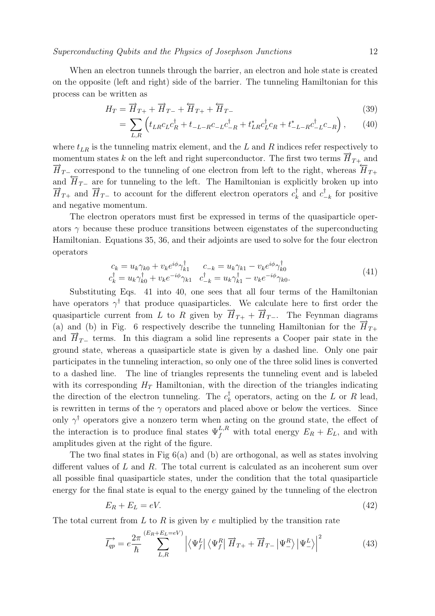When an electron tunnels through the barrier, an electron and hole state is created on the opposite (left and right) side of the barrier. The tunneling Hamiltonian for this process can be written as

$$
H_T = \overrightarrow{H}_{T+} + \overrightarrow{H}_{T-} + \overleftarrow{H}_{T+} + \overleftarrow{H}_{T-}
$$
\n(39)

$$
= \sum_{L,R} \left( t_{LR} c_L c_R^{\dagger} + t_{-L-R} c_{-L} c_{-R}^{\dagger} + t_{LR}^* c_L^{\dagger} c_R + t_{-L-R}^* c_{-L}^{\dagger} c_{-R} \right), \tag{40}
$$

where  $t_{LR}$  is the tunneling matrix element, and the L and R indices refer respectively to momentum states k on the left and right superconductor. The first two terms  $\overrightarrow{H}_{T+}$  and  $\overrightarrow{H}_{T-}$  correspond to the tunneling of one electron from left to the right, whereas  $\overleftarrow{H}_{T+}$ and  $H_{T-}$  are for tunneling to the left. The Hamiltonian is explicitly broken up into  $\overrightarrow{H}_{T+}$  and  $\overrightarrow{H}_{T-}$  to account for the different electron operators  $c_k^{\dagger}$  $k \atop k$  and  $c_{-}^{\dagger}$  $\frac{1}{-k}$  for positive and negative momentum.

The electron operators must first be expressed in terms of the quasiparticle operators  $\gamma$  because these produce transitions between eigenstates of the superconducting Hamiltonian. Equations 35, 36, and their adjoints are used to solve for the four electron operators

$$
c_k = u_k \gamma_{k0} + v_k e^{i\phi} \gamma_{k1}^{\dagger} \qquad c_{-k} = u_k \gamma_{k1} - v_k e^{i\phi} \gamma_{k0}^{\dagger} \nc_k^{\dagger} = u_k \gamma_{k0}^{\dagger} + v_k e^{-i\phi} \gamma_{k1} \qquad c_{-k}^{\dagger} = u_k \gamma_{k1}^{\dagger} - v_k e^{-i\phi} \gamma_{k0}.
$$
\n(41)

Substituting Eqs. 41 into 40, one sees that all four terms of the Hamiltonian have operators  $\gamma^{\dagger}$  that produce quasiparticles. We calculate here to first order the quasiparticle current from L to R given by  $\vec{H}_{T+} + \vec{H}_{T-}$ . The Feynman diagrams (a) and (b) in Fig. 6 respectively describe the tunneling Hamiltonian for the  $\overline{H}_{T+}$ and  $\overline{H}_{T-}$  terms. In this diagram a solid line represents a Cooper pair state in the ground state, whereas a quasiparticle state is given by a dashed line. Only one pair participates in the tunneling interaction, so only one of the three solid lines is converted to a dashed line. The line of triangles represents the tunneling event and is labeled with its corresponding  $H_T$  Hamiltonian, with the direction of the triangles indicating the direction of the electron tunneling. The  $c_{k}^{\dagger}$  $\frac{1}{k}$  operators, acting on the L or R lead, is rewritten in terms of the  $\gamma$  operators and placed above or below the vertices. Since only  $\gamma^{\dagger}$  operators give a nonzero term when acting on the ground state, the effect of the interaction is to produce final states  $\Psi_f^{L,R}$  with total energy  $E_R + E_L$ , and with amplitudes given at the right of the figure.

The two final states in Fig  $6(a)$  and (b) are orthogonal, as well as states involving different values of L and R. The total current is calculated as an incoherent sum over all possible final quasiparticle states, under the condition that the total quasiparticle energy for the final state is equal to the energy gained by the tunneling of the electron

$$
E_R + E_L = eV.\t\t(42)
$$

The total current from  $L$  to  $R$  is given by  $e$  multiplied by the transition rate

$$
\overrightarrow{I_{qp}} = e \frac{2\pi}{\hbar} \sum_{L,R}^{(E_R + E_L = eV)} \left| \left\langle \Psi_f^L \right| \left\langle \Psi_f^R \right| \overrightarrow{H}_{T+} + \overrightarrow{H}_{T-} \left| \Psi_{-}^R \right\rangle \left| \Psi_{-}^L \right\rangle \right|^2 \tag{43}
$$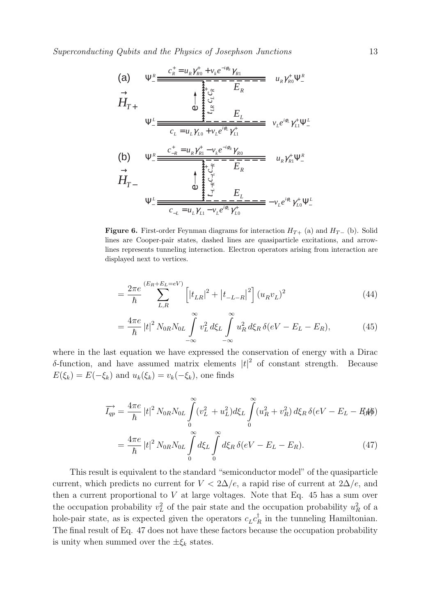(a) 
$$
\Psi_{-}^{R} = \frac{c_{R}^{+} = u_{R} \gamma_{R0}^{+} + v_{k} e^{-i\phi_{R}} \gamma_{R1}}{1 + \frac{1}{2} \sum_{i=1}^{N} E_{i}^{+}} = u_{R} \gamma_{R0}^{+} \Psi_{-}^{R}
$$
  
\n $\overrightarrow{H}_{T+}$   
\n $\Psi_{-}^{L} = \frac{1}{\sum_{i=1}^{N} \sum_{j=1}^{N} E_{i}^{+}} = \frac{1}{\sum_{i=1}^{N} \sum_{j=1}^{N} E_{i}^{+}} = v_{L} e^{i\phi_{L}} \gamma_{L1}^{+} \Psi_{-}^{L}$   
\n(b)  $\Psi_{-}^{R} = \frac{1}{\sum_{i=1}^{N} \sum_{j=1}^{N} E_{i}^{+}} = \frac{1}{\sum_{i=1}^{N} \sum_{j=1}^{N} E_{i}^{+}} = u_{R} \gamma_{R1}^{+} \Psi_{-}^{R}$   
\n $\overrightarrow{H}_{T-}$   
\n $\Psi_{-}^{L} = \frac{1}{\sum_{i=1}^{N} \sum_{j=1}^{N} E_{i}^{+}} = -\frac{1}{\sum_{i=1}^{N} \sum_{j=1}^{N} E_{i}^{+}} = -v_{L} e^{i\phi_{L}} \gamma_{L0}^{+} \Psi_{-}^{L}$ 

**Figure 6.** First-order Feynman diagrams for interaction  $H_{T+}$  (a) and  $H_{T-}$  (b). Solid lines are Cooper-pair states, dashed lines are quasiparticle excitations, and arrowlines represents tunneling interaction. Electron operators arising from interaction are displayed next to vertices.

$$
= \frac{2\pi e}{\hbar} \sum_{L,R}^{(E_R + E_L = eV)} \left[ \left| t_{LR} \right|^2 + \left| t_{-L-R} \right|^2 \right] (u_R v_L)^2 \tag{44}
$$

$$
= \frac{4\pi e}{\hbar} |t|^2 N_{0R} N_{0L} \int_{-\infty}^{\infty} v_L^2 d\xi_L \int_{-\infty}^{\infty} u_R^2 d\xi_R \,\delta(eV - E_L - E_R), \tag{45}
$$

where in the last equation we have expressed the conservation of energy with a Dirac  $\delta$ -function, and have assumed matrix elements  $|t|^2$  of constant strength. Because  $E(\xi_k) = E(-\xi_k)$  and  $u_k(\xi_k) = v_k(-\xi_k)$ , one finds

$$
\overrightarrow{I_{qp}} = \frac{4\pi e}{\hbar} |t|^2 N_{0R} N_{0L} \int_0^\infty (v_L^2 + u_L^2) d\xi_L \int_0^\infty (u_R^2 + v_R^2) d\xi_R \delta(eV - E_L - E_R^2)
$$

$$
=\frac{4\pi e}{\hbar}|t|^2 N_{0R}N_{0L}\int\limits_0^\infty d\xi_L\int\limits_0^\infty d\xi_R\,\delta(eV-E_L-E_R). \tag{47}
$$

This result is equivalent to the standard "semiconductor model" of the quasiparticle current, which predicts no current for  $V < 2\Delta/e$ , a rapid rise of current at  $2\Delta/e$ , and then a current proportional to  $V$  at large voltages. Note that Eq. 45 has a sum over the occupation probability  $v_L^2$  of the pair state and the occupation probability  $u_R^2$  of a hole-pair state, as is expected given the operators  $c_L c_I^{\dagger}$  $R \overline{R}$  in the tunneling Hamiltonian. The final result of Eq. 47 does not have these factors because the occupation probability is unity when summed over the  $\pm \xi_k$  states.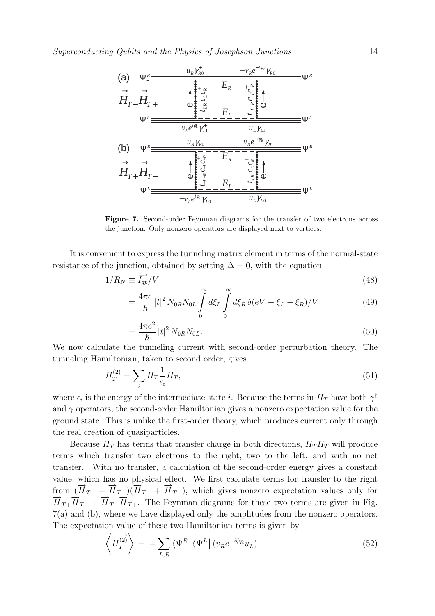

Figure 7. Second-order Feynman diagrams for the transfer of two electrons across the junction. Only nonzero operators are displayed next to vertices.

It is convenient to express the tunneling matrix element in terms of the normal-state resistance of the junction, obtained by setting  $\Delta = 0$ , with the equation

$$
1/R_N \equiv \overrightarrow{I_{qp}}/V \tag{48}
$$

$$
=\frac{4\pi e}{\hbar}|t|^2 N_{0R}N_{0L}\int\limits_0^\cdot d\xi_L \int\limits_0^\cdot d\xi_R \,\delta(eV-\xi_L-\xi_R)/V\tag{49}
$$

$$
=\frac{4\pi e^2}{\hbar}|t|^2 N_{0R}N_{0L}.\tag{50}
$$

We now calculate the tunneling current with second-order perturbation theory. The tunneling Hamiltonian, taken to second order, gives

$$
H_T^{(2)} = \sum_i H_T \frac{1}{\epsilon_i} H_T,
$$
\n(51)

where  $\epsilon_i$  is the energy of the intermediate state *i*. Because the terms in  $H_T$  have both  $\gamma^{\dagger}$ and  $\gamma$  operators, the second-order Hamiltonian gives a nonzero expectation value for the ground state. This is unlike the first-order theory, which produces current only through the real creation of quasiparticles.

Because  $H_T$  has terms that transfer charge in both directions,  $H_T H_T$  will produce terms which transfer two electrons to the right, two to the left, and with no net transfer. With no transfer, a calculation of the second-order energy gives a constant value, which has no physical effect. We first calculate terms for transfer to the right from  $(\vec{H}_{T+} + \vec{H}_{T-})(\vec{H}_{T+} + \vec{H}_{T-})$ , which gives nonzero expectation values only for  $\overrightarrow{H}_{T+} \overrightarrow{H}_{T-} + \overrightarrow{H}_{T-} \overrightarrow{H}_{T+}$ . The Feynman diagrams for these two terms are given in Fig. 7(a) and (b), where we have displayed only the amplitudes from the nonzero operators. The expectation value of these two Hamiltonian terms is given by  $\sqrt{\frac{(\alpha)}{\alpha}}$ 

$$
\left\langle \overrightarrow{H_T^{(2)}} \right\rangle = -\sum_{L,R} \left\langle \Psi_-^R \right| \left\langle \Psi_-^L \right| (v_R e^{-i\phi_R} u_L) \tag{52}
$$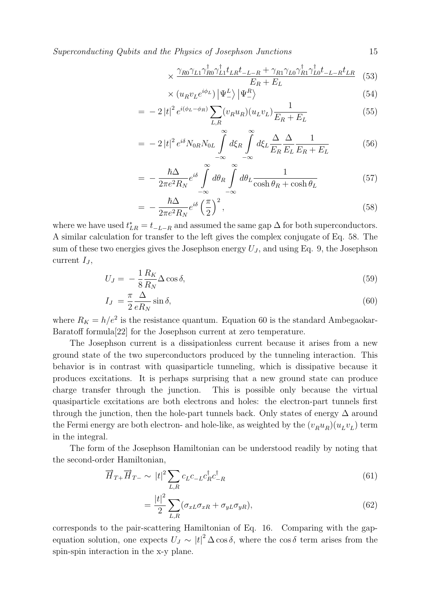$$
\times \frac{\gamma_{R0}\gamma_{L1}\gamma_{R0}^{\dagger}\gamma_{L1}^{\dagger}t_{LR}t_{-L-R} + \gamma_{R1}\gamma_{L0}\gamma_{R1}^{\dagger}\gamma_{L0}^{\dagger}t_{-L-R}t_{LR}}{E_R + E_L} \tag{53}
$$

$$
\times (u_R v_L e^{i\phi_L}) \left| \Psi_-^L \right\rangle \left| \Psi_-^R \right\rangle \tag{54}
$$

$$
= -2|t|^2 e^{i(\phi_L - \phi_R)} \sum_{L,R} (v_R u_R)(u_L v_L) \frac{1}{E_R + E_L}
$$
(55)

$$
= -2|t|^2 e^{i\delta} N_{0R} N_{0L} \int_{-\infty}^{\infty} d\xi_R \int_{-\infty}^{\infty} d\xi_L \frac{\Delta}{E_R} \frac{\Delta}{E_L} \frac{1}{E_R + E_L}
$$
(56)

$$
= -\frac{\hbar \Delta}{2\pi e^2 R_N} e^{i\delta} \int_{-\infty}^{\infty} d\theta_R \int_{-\infty}^{\infty} d\theta_L \frac{1}{\cosh \theta_R + \cosh \theta_L}
$$
(57)

$$
= -\frac{\hbar \Delta}{2\pi e^2 R_N} e^{i\delta} \left(\frac{\pi}{2}\right)^2, \tag{58}
$$

where we have used  $t_{LR}^* = t_{-L-R}$  and assumed the same gap  $\Delta$  for both superconductors. A similar calculation for transfer to the left gives the complex conjugate of Eq. 58. The sum of these two energies gives the Josephson energy  $U_J$ , and using Eq. 9, the Josephson current  $I_J$ ,

$$
U_J = -\frac{1}{8} \frac{R_K}{R_N} \Delta \cos \delta,\tag{59}
$$

$$
I_J = \frac{\pi}{2} \frac{\Delta}{eR_N} \sin \delta,\tag{60}
$$

where  $R_K = h/e^2$  is the resistance quantum. Equation 60 is the standard Ambegaokar-Baratoff formula[22] for the Josephson current at zero temperature.

The Josephson current is a dissipationless current because it arises from a new ground state of the two superconductors produced by the tunneling interaction. This behavior is in contrast with quasiparticle tunneling, which is dissipative because it produces excitations. It is perhaps surprising that a new ground state can produce charge transfer through the junction. This is possible only because the virtual quasiparticle excitations are both electrons and holes: the electron-part tunnels first through the junction, then the hole-part tunnels back. Only states of energy  $\Delta$  around the Fermi energy are both electron- and hole-like, as weighted by the  $(v_R u_R)(u_L v_L)$  term in the integral.

The form of the Josephson Hamiltonian can be understood readily by noting that the second-order Hamiltonian,

$$
\overrightarrow{H}_{T+} \overrightarrow{H}_{T-} \sim |t|^2 \sum_{L,R} c_L c_{-L} c_R^{\dagger} c_{-R}^{\dagger}
$$
\n(61)

$$
= \frac{|t|^2}{2} \sum_{L,R} (\sigma_{xL} \sigma_{xR} + \sigma_{yL} \sigma_{yR}), \tag{62}
$$

corresponds to the pair-scattering Hamiltonian of Eq. 16. Comparing with the gapequation solution, one expects  $U_J \sim |t|^2 \Delta \cos \delta$ , where the  $\cos \delta$  term arises from the spin-spin interaction in the x-y plane.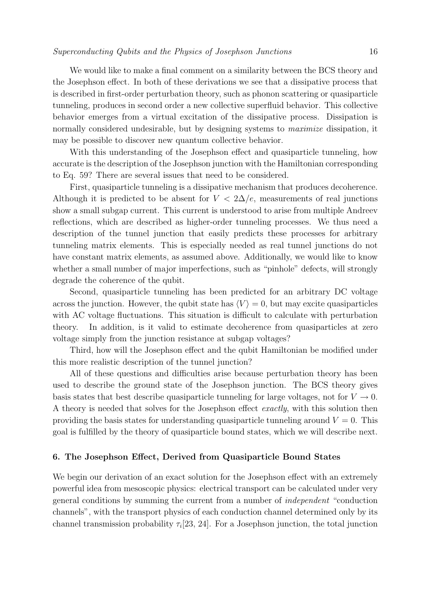We would like to make a final comment on a similarity between the BCS theory and the Josephson effect. In both of these derivations we see that a dissipative process that is described in first-order perturbation theory, such as phonon scattering or quasiparticle tunneling, produces in second order a new collective superfluid behavior. This collective behavior emerges from a virtual excitation of the dissipative process. Dissipation is normally considered undesirable, but by designing systems to *maximize* dissipation, it may be possible to discover new quantum collective behavior.

With this understanding of the Josephson effect and quasiparticle tunneling, how accurate is the description of the Josephson junction with the Hamiltonian corresponding to Eq. 59? There are several issues that need to be considered.

First, quasiparticle tunneling is a dissipative mechanism that produces decoherence. Although it is predicted to be absent for  $V < 2\Delta/e$ , measurements of real junctions show a small subgap current. This current is understood to arise from multiple Andreev reflections, which are described as higher-order tunneling processes. We thus need a description of the tunnel junction that easily predicts these processes for arbitrary tunneling matrix elements. This is especially needed as real tunnel junctions do not have constant matrix elements, as assumed above. Additionally, we would like to know whether a small number of major imperfections, such as "pinhole" defects, will strongly degrade the coherence of the qubit.

Second, quasiparticle tunneling has been predicted for an arbitrary DC voltage across the junction. However, the qubit state has  $\langle V \rangle = 0$ , but may excite quasiparticles with AC voltage fluctuations. This situation is difficult to calculate with perturbation theory. In addition, is it valid to estimate decoherence from quasiparticles at zero voltage simply from the junction resistance at subgap voltages?

Third, how will the Josephson effect and the qubit Hamiltonian be modified under this more realistic description of the tunnel junction?

All of these questions and difficulties arise because perturbation theory has been used to describe the ground state of the Josephson junction. The BCS theory gives basis states that best describe quasiparticle tunneling for large voltages, not for  $V \to 0$ . A theory is needed that solves for the Josephson effect exactly, with this solution then providing the basis states for understanding quasiparticle tunneling around  $V = 0$ . This goal is fulfilled by the theory of quasiparticle bound states, which we will describe next.

#### 6. The Josephson Effect, Derived from Quasiparticle Bound States

We begin our derivation of an exact solution for the Josephson effect with an extremely powerful idea from mesoscopic physics: electrical transport can be calculated under very general conditions by summing the current from a number of independent "conduction channels", with the transport physics of each conduction channel determined only by its channel transmission probability  $\tau_i$ [23, 24]. For a Josephson junction, the total junction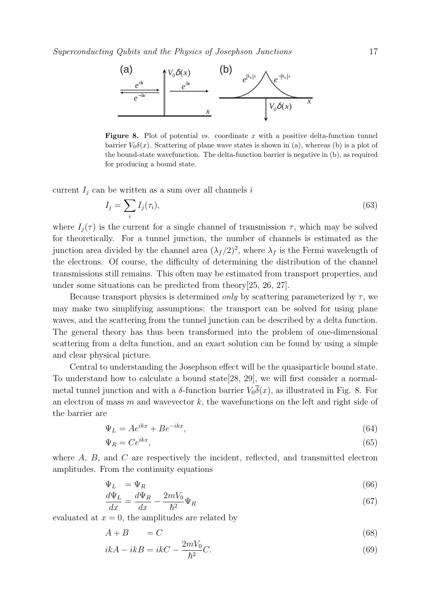

**Figure 8.** Plot of potential *vs.* coordinate  $x$  with a positive delta-function tunnel barrier  $V_0 \delta(x)$ . Scattering of plane wave states is shown in (a), whereas (b) is a plot of the bound-state wavefunction. The delta-function barrier is negative in (b), as required for producing a bound state.

current  $I_j$  can be written as a sum over all channels i

$$
I_j = \sum_i I_j(\tau_i),\tag{63}
$$

where  $I_i(\tau)$  is the current for a single channel of transmission  $\tau$ , which may be solved for theoretically. For a tunnel junction, the number of channels is estimated as the junction area divided by the channel area  $(\lambda_f/2)^2$ , where  $\lambda_f$  is the Fermi wavelength of the electrons. Of course, the difficulty of determining the distribution of the channel transmissions still remains. This often may be estimated from transport properties, and under some situations can be predicted from theory[25, 26, 27].

Because transport physics is determined *only* by scattering parameterized by  $\tau$ , we may make two simplifying assumptions: the transport can be solved for using plane waves, and the scattering from the tunnel junction can be described by a delta function. The general theory has thus been transformed into the problem of one-dimensional scattering from a delta function, and an exact solution can be found by using a simple and clear physical picture.

Central to understanding the Josephson effect will be the quasiparticle bound state. To understand how to calculate a bound state[28, 29], we will first consider a normalmetal tunnel junction and with a  $\delta$ -function barrier  $V_0\overline{\delta}(x)$ , as illustrated in Fig. 8. For an electron of mass  $m$  and wavevector  $k$ , the wavefunctions on the left and right side of the barrier are

$$
\Psi_L = Ae^{ikx} + Be^{-ikx},\tag{64}
$$

$$
\Psi_R = Ce^{ikx},\tag{65}
$$

where A, B, and C are respectively the incident, reflected, and transmitted electron amplitudes. From the continuity equations

$$
\Psi_L = \Psi_R \tag{66}
$$

$$
\frac{d\Psi_L}{dx} = \frac{d\Psi_R}{dx} - \frac{2mV_0}{\hbar^2} \Psi_R
$$
\n(67)

evaluated at  $x = 0$ , the amplitudes are related by

$$
A + B = C \tag{68}
$$

$$
ikA - ikB = ikC - \frac{2mV_0}{\hbar^2}C.
$$
\n
$$
(69)
$$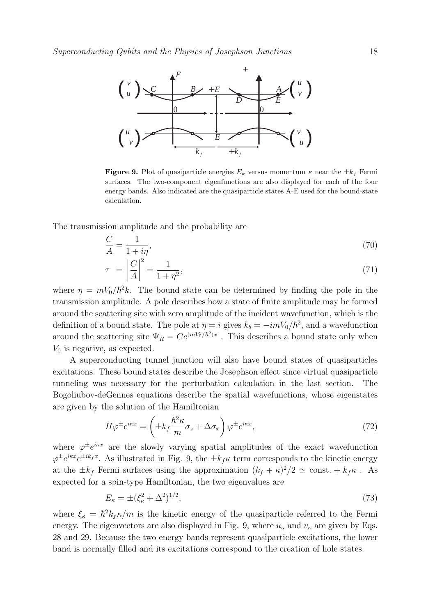

**Figure 9.** Plot of quasiparticle energies  $E_{\kappa}$  versus momentum  $\kappa$  near the  $\pm k_f$  Fermi surfaces. The two-component eigenfunctions are also displayed for each of the four energy bands. Also indicated are the quasiparticle states A-E used for the bound-state calculation.

The transmission amplitude and the probability are

$$
\frac{C}{A} = \frac{1}{1+i\eta},\tag{70}
$$
\n
$$
|C|^2 \qquad 1
$$

$$
\tau = \left| \frac{C}{A} \right|^2 = \frac{1}{1 + \eta^2},\tag{71}
$$

where  $\eta = mV_0/\hbar^2 k$ . The bound state can be determined by finding the pole in the transmission amplitude. A pole describes how a state of finite amplitude may be formed around the scattering site with zero amplitude of the incident wavefunction, which is the definition of a bound state. The pole at  $\eta = i$  gives  $k_b = -imV_0/\hbar^2$ , and a wavefunction around the scattering site  $\Psi_R = Ce^{(mV_0/\hbar^2)x}$ . This describes a bound state only when  $V_0$  is negative, as expected.

A superconducting tunnel junction will also have bound states of quasiparticles excitations. These bound states describe the Josephson effect since virtual quasiparticle tunneling was necessary for the perturbation calculation in the last section. The Bogoliubov-deGennes equations describe the spatial wavefunctions, whose eigenstates are given by the solution of the Hamiltonian

$$
H\varphi^{\pm}e^{ikx} = \left(\pm k_f \frac{\hbar^2 \kappa}{m} \sigma_z + \Delta \sigma_x\right) \varphi^{\pm}e^{ikx},\tag{72}
$$

where  $\varphi^{\pm}e^{ikx}$  are the slowly varying spatial amplitudes of the exact wavefunction  $\varphi^{\pm}e^{ikx}e^{\pm ik_{f}x}$ . As illustrated in Fig. 9, the  $\pm k_{f}\kappa$  term corresponds to the kinetic energy at the  $\pm k_f$  Fermi surfaces using the approximation  $(k_f + \kappa)^2/2 \simeq \text{const.} + k_f \kappa$ . As expected for a spin-type Hamiltonian, the two eigenvalues are

$$
E_{\kappa} = \pm (\xi_{\kappa}^2 + \Delta^2)^{1/2},\tag{73}
$$

where  $\xi_{\kappa} = \hbar^2 k_f \kappa/m$  is the kinetic energy of the quasiparticle referred to the Fermi energy. The eigenvectors are also displayed in Fig. 9, where  $u_{\kappa}$  and  $v_{\kappa}$  are given by Eqs. 28 and 29. Because the two energy bands represent quasiparticle excitations, the lower band is normally filled and its excitations correspond to the creation of hole states.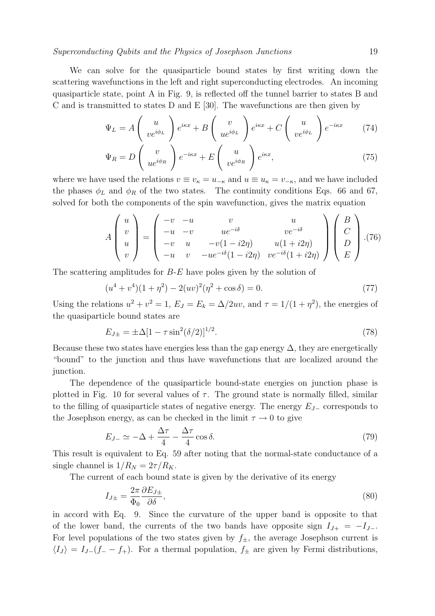We can solve for the quasiparticle bound states by first writing down the scattering wavefunctions in the left and right superconducting electrodes. An incoming quasiparticle state, point A in Fig. 9, is reflected off the tunnel barrier to states B and C and is transmitted to states D and E [30]. The wavefunctions are then given by

$$
\Psi_L = A \begin{pmatrix} u \\ v e^{i\phi_L} \end{pmatrix} e^{i\kappa x} + B \begin{pmatrix} v \\ u e^{i\phi_L} \end{pmatrix} e^{i\kappa x} + C \begin{pmatrix} u \\ v e^{i\phi_L} \end{pmatrix} e^{-i\kappa x} \tag{74}
$$

$$
\Psi_R = D \left( \begin{array}{c} v \\ ue^{i\phi_R} \end{array} \right) e^{-i\kappa x} + E \left( \begin{array}{c} u \\ ve^{i\phi_R} \end{array} \right) e^{i\kappa x},\tag{75}
$$

where we have used the relations  $v \equiv v_{\kappa} = u_{-\kappa}$  and  $u \equiv u_{\kappa} = v_{-\kappa}$ , and we have included the phases  $\phi_L$  and  $\phi_R$  of the two states. The continuity conditions Eqs. 66 and 67, solved for both the components of the spin wavefunction, gives the matrix equation

$$
A\begin{pmatrix} u \\ v \\ u \\ v \end{pmatrix} = \begin{pmatrix} -v & -u & v & u \\ -u & -v & ue^{-i\delta} & ve^{-i\delta} \\ -v & u & -v(1-i2\eta) & u(1+i2\eta) \\ -u & v & -ue^{-i\delta}(1-i2\eta) & ve^{-i\delta}(1+i2\eta) \end{pmatrix} \begin{pmatrix} B \\ C \\ D \\ E \end{pmatrix} . (76)
$$

The scattering amplitudes for B-E have poles given by the solution of

$$
(u4 + v4)(1 + \eta2) - 2(uv)2(\eta2 + \cos \delta) = 0.
$$
 (77)

Using the relations  $u^2 + v^2 = 1$ ,  $E_J = E_k = \Delta/2uv$ , and  $\tau = 1/(1 + \eta^2)$ , the energies of the quasiparticle bound states are

$$
E_{J\pm} = \pm \Delta [1 - \tau \sin^2(\delta/2)]^{1/2}.
$$
\n(78)

Because these two states have energies less than the gap energy  $\Delta$ , they are energetically "bound" to the junction and thus have wavefunctions that are localized around the junction.

The dependence of the quasiparticle bound-state energies on junction phase is plotted in Fig. 10 for several values of  $\tau$ . The ground state is normally filled, similar to the filling of quasiparticle states of negative energy. The energy  $E_J$ – corresponds to the Josephson energy, as can be checked in the limit  $\tau \to 0$  to give

$$
E_{J-} \simeq -\Delta + \frac{\Delta \tau}{4} - \frac{\Delta \tau}{4} \cos \delta. \tag{79}
$$

This result is equivalent to Eq. 59 after noting that the normal-state conductance of a single channel is  $1/R_N = 2\tau/R_K$ .

The current of each bound state is given by the derivative of its energy

$$
I_{J\pm} = \frac{2\pi}{\Phi_0} \frac{\partial E_{J\pm}}{\partial \delta},\tag{80}
$$

in accord with Eq. 9. Since the curvature of the upper band is opposite to that of the lower band, the currents of the two bands have opposite sign  $I_{J+} = -I_{J-}$ . For level populations of the two states given by  $f_{\pm}$ , the average Josephson current is  $\langle I_J \rangle = I_{J-}(f_--f_+).$  For a thermal population,  $f_{\pm}$  are given by Fermi distributions,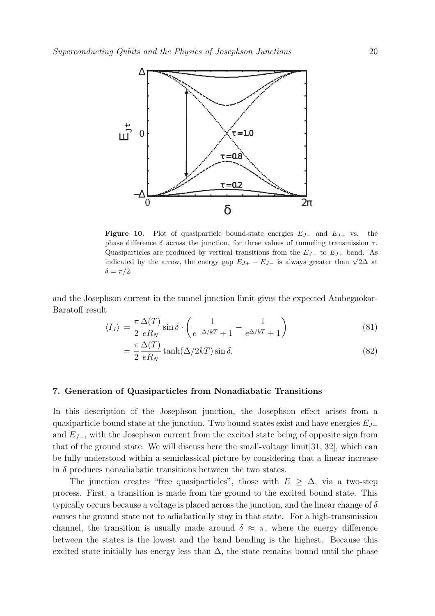

**Figure 10.** Plot of quasiparticle bound-state energies  $E_{J-}$  and  $E_{J+}$  vs. the phase difference  $\delta$  across the junction, for three values of tunneling transmission  $\tau$ . Quasiparticles are produced by vertical transitions from the  $E_{J-}$  to  $E_{J+}$  band. As Quasiparticles are produced by vertical transitions from the  $E_{J-}$  to  $E_{J+}$  band. As indicated by the arrow, the energy gap  $E_{J+} - E_{J-}$  is always greater than  $\sqrt{2}\Delta$  at  $\delta = \pi/2$ .

and the Josephson current in the tunnel junction limit gives the expected Ambegaokar-Baratoff result  $\overline{a}$ 

$$
\langle I_J \rangle = \frac{\pi}{2} \frac{\Delta(T)}{eR_N} \sin \delta \cdot \left( \frac{1}{e^{-\Delta/kT} + 1} - \frac{1}{e^{\Delta/kT} + 1} \right) \tag{81}
$$

$$
= \frac{\pi}{2} \frac{\Delta(T)}{eR_N} \tanh(\Delta/2k) \sin \delta. \tag{82}
$$

#### 7. Generation of Quasiparticles from Nonadiabatic Transitions

In this description of the Josephson junction, the Josephson effect arises from a quasiparticle bound state at the junction. Two bound states exist and have energies  $E_{J+}$ and  $E_{J-}$ , with the Josephson current from the excited state being of opposite sign from that of the ground state. We will discuss here the small-voltage limit[31, 32], which can be fully understood within a semiclassical picture by considering that a linear increase in  $\delta$  produces nonadiabatic transitions between the two states.

The junction creates "free quasiparticles", those with  $E \geq \Delta$ , via a two-step process. First, a transition is made from the ground to the excited bound state. This typically occurs because a voltage is placed across the junction, and the linear change of  $\delta$ causes the ground state not to adiabatically stay in that state. For a high-transmission channel, the transition is usually made around  $\delta \approx \pi$ , where the energy difference between the states is the lowest and the band bending is the highest. Because this excited state initially has energy less than  $\Delta$ , the state remains bound until the phase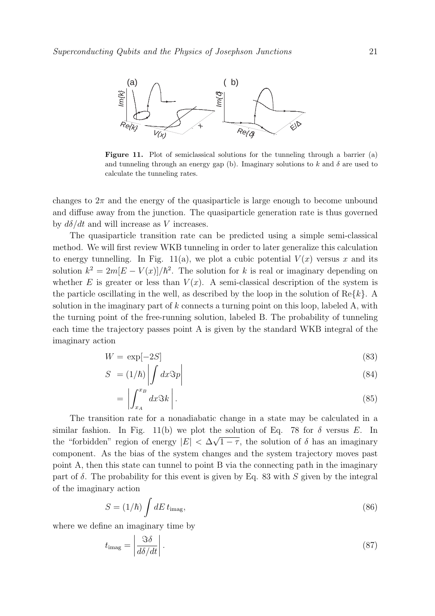

Figure 11. Plot of semiclassical solutions for the tunneling through a barrier (a) and tunneling through an energy gap (b). Imaginary solutions to k and  $\delta$  are used to calculate the tunneling rates.

changes to  $2\pi$  and the energy of the quasiparticle is large enough to become unbound and diffuse away from the junction. The quasiparticle generation rate is thus governed by  $d\delta/dt$  and will increase as V increases.

The quasiparticle transition rate can be predicted using a simple semi-classical method. We will first review WKB tunneling in order to later generalize this calculation to energy tunnelling. In Fig. 11(a), we plot a cubic potential  $V(x)$  versus x and its solution  $k^2 = 2m[E - V(x)]/\hbar^2$ . The solution for k is real or imaginary depending on whether E is greater or less than  $V(x)$ . A semi-classical description of the system is the particle oscillating in the well, as described by the loop in the solution of Re $\{k\}$ . A solution in the imaginary part of  $k$  connects a turning point on this loop, labeled  $A$ , with the turning point of the free-running solution, labeled B. The probability of tunneling each time the trajectory passes point A is given by the standard WKB integral of the imaginary action

$$
W = \exp[-2S] \tag{83}
$$

$$
S = (1/\hbar) \left| \int dx \Im p \right| \tag{84}
$$

$$
= \left| \int_{x_A}^{x_B} dx \Im k \right| \,. \tag{85}
$$

The transition rate for a nonadiabatic change in a state may be calculated in a similar fashion. In Fig. 11(b) we plot the solution of Eq. 78 for  $\delta$  versus E. In the "forbidden" region of energy  $|E| < \Delta \sqrt{1-\tau}$ , the solution of  $\delta$  has an imaginary component. As the bias of the system changes and the system trajectory moves past point A, then this state can tunnel to point B via the connecting path in the imaginary part of  $\delta$ . The probability for this event is given by Eq. 83 with S given by the integral of the imaginary action

$$
S = (1/\hbar) \int dE \, t_{\rm imag}, \tag{86}
$$

where we define an imaginary time by ¯ ¯

$$
t_{\rm imag} = \left| \frac{\Im \delta}{d\delta / dt} \right|.
$$
 (87)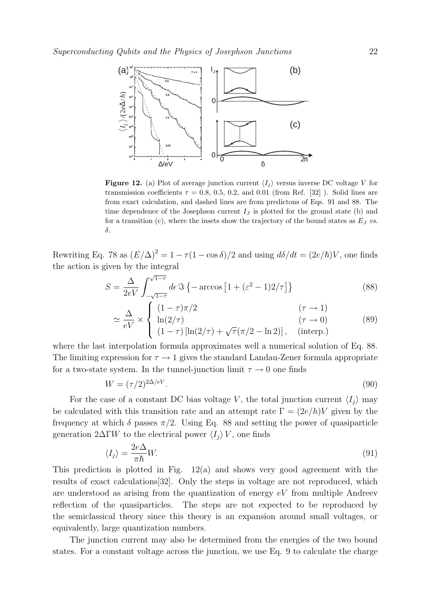

**Figure 12.** (a) Plot of average junction current  $\langle I_i \rangle$  versus inverse DC voltage V for transmission coefficients  $\tau = 0.8, 0.5, 0.2,$  and 0.01 (from Ref. [32]). Solid lines are from exact calculation, and dashed lines are from predictons of Eqs. 91 and 88. The time dependence of the Josephson current  $I_J$  is plotted for the ground state (b) and for a transition (c), where the insets show the trajectory of the bound states as  $E_j$  vs. δ.

Rewriting Eq. 78 as  $(E/\Delta)^2 = 1 - \tau (1 - \cos \delta)/2$  and using  $d\delta/dt = (2e/\hbar)V$ , one finds the action is given by the integral

$$
S = \frac{\Delta}{2eV} \int_{-\sqrt{1-\tau}}^{\sqrt{1-\tau}} d\epsilon \,\Im\left\{-\arccos\left[1+(\varepsilon^2-1)2/\tau\right]\right\} \tag{88}
$$

$$
\simeq \frac{\Delta}{eV} \times \begin{cases}\n(1-\tau)\pi/2 & (\tau \to 1) \\
\ln(2/\tau) & (\tau \to 0) \\
(1-\tau)[\ln(2/\tau) + \sqrt{\tau}(\pi/2 - \ln 2)], & (\text{interp.})\n\end{cases}
$$
\n(89)

where the last interpolation formula approximates well a numerical solution of Eq. 88. The limiting expression for  $\tau \to 1$  gives the standard Landau-Zener formula appropriate for a two-state system. In the tunnel-junction limit  $\tau \to 0$  one finds

$$
W = (\tau/2)^{2\Delta/eV}.\tag{90}
$$

For the case of a constant DC bias voltage V, the total junction current  $\langle I_i \rangle$  may be calculated with this transition rate and an attempt rate  $\Gamma = (2e/h)V$  given by the frequency at which  $\delta$  passes  $\pi/2$ . Using Eq. 88 and setting the power of quasiparticle generation  $2\Delta\Gamma W$  to the electrical power  $\langle I_j \rangle V$ , one finds

$$
\langle I_j \rangle = \frac{2e\Delta}{\pi\hbar}W.\tag{91}
$$

This prediction is plotted in Fig.  $12(a)$  and shows very good agreement with the results of exact calculations[32]. Only the steps in voltage are not reproduced, which are understood as arising from the quantization of energy  $eV$  from multiple Andreev reflection of the quasiparticles. The steps are not expected to be reproduced by the semiclassical theory since this theory is an expansion around small voltages, or equivalently, large quantization numbers.

The junction current may also be determined from the energies of the two bound states. For a constant voltage across the junction, we use Eq. 9 to calculate the charge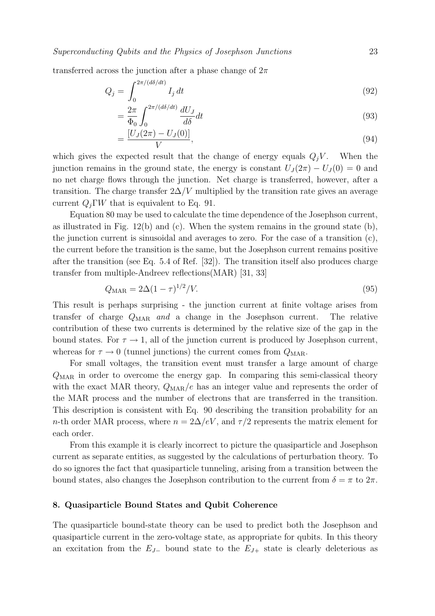transferred across the junction after a phase change of  $2\pi$ 

$$
Q_j = \int_0^{2\pi/(d\delta/dt)} I_j dt
$$
\n(92)

$$
=\frac{2\pi}{\Phi_0} \int_0^{2\pi/(d\delta/dt)} \frac{dU_J}{d\delta} dt\tag{93}
$$

$$
=\frac{[U_J(2\pi)-U_J(0)]}{V},\tag{94}
$$

which gives the expected result that the change of energy equals  $Q_jV$ . When the junction remains in the ground state, the energy is constant  $U_J(2\pi) - U_J(0) = 0$  and no net charge flows through the junction. Net charge is transferred, however, after a transition. The charge transfer  $2\Delta/V$  multiplied by the transition rate gives an average current  $Q_i \Gamma W$  that is equivalent to Eq. 91.

Equation 80 may be used to calculate the time dependence of the Josephson current, as illustrated in Fig.  $12(b)$  and (c). When the system remains in the ground state (b), the junction current is sinusoidal and averages to zero. For the case of a transition  $(c)$ , the current before the transition is the same, but the Josephson current remains positive after the transition (see Eq. 5.4 of Ref. [32]). The transition itself also produces charge transfer from multiple-Andreev reflections(MAR) [31, 33]

$$
Q_{\text{MAR}} = 2\Delta (1-\tau)^{1/2}/V. \tag{95}
$$

This result is perhaps surprising - the junction current at finite voltage arises from transfer of charge  $Q_{\text{MAR}}$  and a change in the Josephson current. The relative contribution of these two currents is determined by the relative size of the gap in the bound states. For  $\tau \to 1$ , all of the junction current is produced by Josephson current, whereas for  $\tau \to 0$  (tunnel junctions) the current comes from  $Q_{\text{MAR}}$ .

For small voltages, the transition event must transfer a large amount of charge  $Q<sub>MAR</sub>$  in order to overcome the energy gap. In comparing this semi-classical theory with the exact MAR theory,  $Q_{\text{MAR}}/e$  has an integer value and represents the order of the MAR process and the number of electrons that are transferred in the transition. This description is consistent with Eq. 90 describing the transition probability for an n-th order MAR process, where  $n = 2\Delta/eV$ , and  $\tau/2$  represents the matrix element for each order.

From this example it is clearly incorrect to picture the quasiparticle and Josephson current as separate entities, as suggested by the calculations of perturbation theory. To do so ignores the fact that quasiparticle tunneling, arising from a transition between the bound states, also changes the Josephson contribution to the current from  $\delta = \pi$  to  $2\pi$ .

#### 8. Quasiparticle Bound States and Qubit Coherence

The quasiparticle bound-state theory can be used to predict both the Josephson and quasiparticle current in the zero-voltage state, as appropriate for qubits. In this theory an excitation from the  $E_{J-}$  bound state to the  $E_{J+}$  state is clearly deleterious as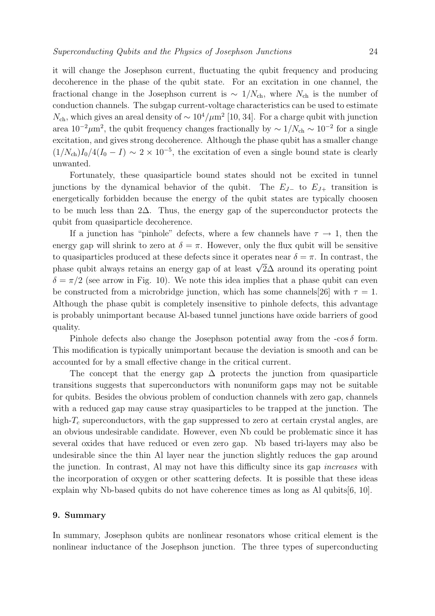it will change the Josephson current, fluctuating the qubit frequency and producing decoherence in the phase of the qubit state. For an excitation in one channel, the fractional change in the Josephson current is  $\sim 1/N_{ch}$ , where  $N_{ch}$  is the number of conduction channels. The subgap current-voltage characteristics can be used to estimate  $N_{\text{ch}}$ , which gives an areal density of  $\sim 10^4/\mu m^2$  [10, 34]. For a charge qubit with junction area  $10^{-2} \mu \text{m}^2$ , the qubit frequency changes fractionally by  $\sim 1/N_{ch} \sim 10^{-2}$  for a single excitation, and gives strong decoherence. Although the phase qubit has a smaller change  $(1/N<sub>ch</sub>)I<sub>0</sub>/4(I<sub>0</sub> - I) \sim 2 \times 10<sup>-5</sup>$ , the excitation of even a single bound state is clearly unwanted.

Fortunately, these quasiparticle bound states should not be excited in tunnel junctions by the dynamical behavior of the qubit. The  $E_{J-}$  to  $E_{J+}$  transition is energetically forbidden because the energy of the qubit states are typically choosen to be much less than 2∆. Thus, the energy gap of the superconductor protects the qubit from quasiparticle decoherence.

If a junction has "pinhole" defects, where a few channels have  $\tau \to 1$ , then the energy gap will shrink to zero at  $\delta = \pi$ . However, only the flux qubit will be sensitive to quasiparticles produced at these defects since it operates near  $\delta = \pi$ . In contrast, the to quasiparticles produced at these defects since it operates hear  $\sigma = \pi$ . In contrast, the phase qubit always retains an energy gap of at least  $\sqrt{2}\Delta$  around its operating point  $\delta = \pi/2$  (see arrow in Fig. 10). We note this idea implies that a phase qubit can even be constructed from a microbridge junction, which has some channels [26] with  $\tau = 1$ . Although the phase qubit is completely insensitive to pinhole defects, this advantage is probably unimportant because Al-based tunnel junctions have oxide barriers of good quality.

Pinhole defects also change the Josephson potential away from the  $-\cos \delta$  form. This modification is typically unimportant because the deviation is smooth and can be accounted for by a small effective change in the critical current.

The concept that the energy gap  $\Delta$  protects the junction from quasiparticle transitions suggests that superconductors with nonuniform gaps may not be suitable for qubits. Besides the obvious problem of conduction channels with zero gap, channels with a reduced gap may cause stray quasiparticles to be trapped at the junction. The high- $T_c$  superconductors, with the gap suppressed to zero at certain crystal angles, are an obvious undesirable candidate. However, even Nb could be problematic since it has several oxides that have reduced or even zero gap. Nb based tri-layers may also be undesirable since the thin Al layer near the junction slightly reduces the gap around the junction. In contrast, Al may not have this difficulty since its gap increases with the incorporation of oxygen or other scattering defects. It is possible that these ideas explain why Nb-based qubits do not have coherence times as long as Al qubits[6, 10].

#### 9. Summary

In summary, Josephson qubits are nonlinear resonators whose critical element is the nonlinear inductance of the Josephson junction. The three types of superconducting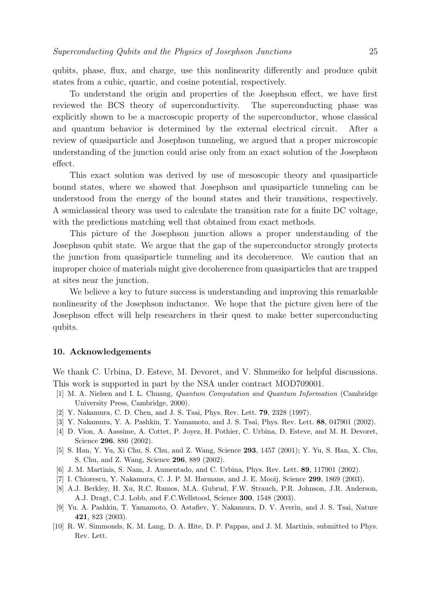qubits, phase, flux, and charge, use this nonlinearity differently and produce qubit states from a cubic, quartic, and cosine potential, respectively.

To understand the origin and properties of the Josephson effect, we have first reviewed the BCS theory of superconductivity. The superconducting phase was explicitly shown to be a macroscopic property of the superconductor, whose classical and quantum behavior is determined by the external electrical circuit. After a review of quasiparticle and Josephson tunneling, we argued that a proper microscopic understanding of the junction could arise only from an exact solution of the Josephson effect.

This exact solution was derived by use of mesoscopic theory and quasiparticle bound states, where we showed that Josephson and quasiparticle tunneling can be understood from the energy of the bound states and their transitions, respectively. A semiclassical theory was used to calculate the transition rate for a finite DC voltage, with the predictions matching well that obtained from exact methods.

This picture of the Josephson junction allows a proper understanding of the Josephson qubit state. We argue that the gap of the superconductor strongly protects the junction from quasiparticle tunneling and its decoherence. We caution that an improper choice of materials might give decoherence from quasiparticles that are trapped at sites near the junction.

We believe a key to future success is understanding and improving this remarkable nonlinearity of the Josephson inductance. We hope that the picture given here of the Josephson effect will help researchers in their quest to make better superconducting qubits.

#### 10. Acknowledgements

We thank C. Urbina, D. Esteve, M. Devoret, and V. Shumeiko for helpful discussions. This work is supported in part by the NSA under contract MOD709001.

- [1] M. A. Nielsen and I. L. Chuang, Quantum Computation and Quantum Information (Cambridge University Press, Cambridge, 2000).
- [2] Y. Nakamura, C. D. Chen, and J. S. Tsai, Phys. Rev. Lett. 79, 2328 (1997).
- [3] Y. Nakamura, Y. A. Pashkin, T. Yamamoto, and J. S. Tsai, Phys. Rev. Lett. 88, 047901 (2002).
- [4] D. Vion, A. Aassime, A. Cottet, P. Joyez, H. Pothier, C. Urbina, D. Esteve, and M. H. Devoret, Science **296**, 886 (2002).
- [5] S. Han, Y. Yu, Xi Chu, S. Chu, and Z. Wang, Science 293, 1457 (2001); Y. Yu, S. Han, X. Chu, S. Chu, and Z. Wang, Science 296, 889 (2002).
- [6] J. M. Martinis, S. Nam, J. Aumentado, and C. Urbina, Phys. Rev. Lett. 89, 117901 (2002).
- [7] I. Chiorescu, Y. Nakamura, C. J. P. M. Harmans, and J. E. Mooij, Science 299, 1869 (2003).
- [8] A.J. Berkley, H. Xu, R.C. Ramos, M.A. Gubrud, F.W. Strauch, P.R. Johnson, J.R. Anderson, A.J. Dragt, C.J. Lobb, and F.C.Wellstood, Science 300, 1548 (2003).
- [9] Yu. A. Pashkin, T. Yamamoto, O. Astafiev, Y. Nakamura, D. V. Averin, and J. S. Tsai, Nature 421, 823 (2003).
- [10] R. W. Simmonds, K. M. Lang, D. A. Hite, D. P. Pappas, and J. M. Martinis, submitted to Phys. Rev. Lett.